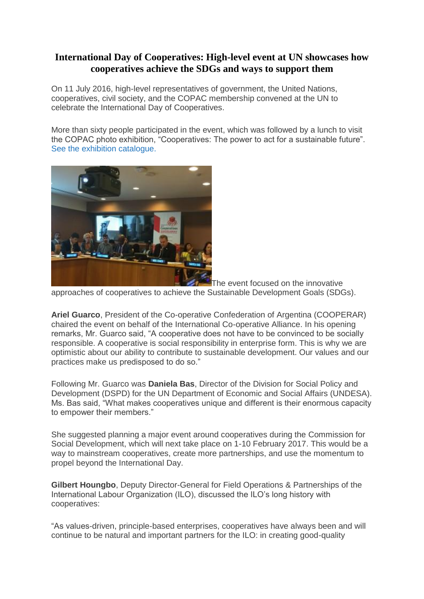## **International Day of Cooperatives: High-level event at UN showcases how cooperatives achieve the SDGs and ways to support them**

On 11 July 2016, high-level representatives of government, the United Nations, cooperatives, civil society, and the COPAC membership convened at the UN to celebrate the International Day of Cooperatives.

More than sixty people participated in the event, which was followed by a lunch to visit the COPAC photo exhibition, "Cooperatives: The power to act for a sustainable future". [See the exhibition catalogue.](http://www.copac.coop/wp-content/uploads/2016/06/copac_un_booklet-web.pdf)



The event focused on the innovative

approaches of cooperatives to achieve the Sustainable Development Goals (SDGs).

**Ariel Guarco**, President of the Co-operative Confederation of Argentina (COOPERAR) chaired the event on behalf of the International Co-operative Alliance. In his opening remarks, Mr. Guarco said, "A cooperative does not have to be convinced to be socially responsible. A cooperative is social responsibility in enterprise form. This is why we are optimistic about our ability to contribute to sustainable development. Our values and our practices make us predisposed to do so."

Following Mr. Guarco was **Daniela Bas**, Director of the Division for Social Policy and Development (DSPD) for the UN Department of Economic and Social Affairs (UNDESA). Ms. Bas said, "What makes cooperatives unique and different is their enormous capacity to empower their members."

She suggested planning a major event around cooperatives during the Commission for Social Development, which will next take place on 1-10 February 2017. This would be a way to mainstream cooperatives, create more partnerships, and use the momentum to propel beyond the International Day.

**Gilbert Houngbo**, Deputy Director-General for Field Operations & Partnerships of the International Labour Organization (ILO), discussed the ILO's long history with cooperatives:

"As values-driven, principle-based enterprises, cooperatives have always been and will continue to be natural and important partners for the ILO: in creating good-quality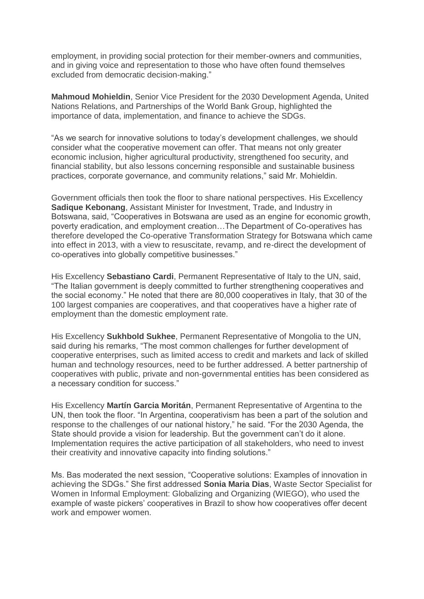employment, in providing social protection for their member-owners and communities, and in giving voice and representation to those who have often found themselves excluded from democratic decision-making."

**Mahmoud Mohieldin**, Senior Vice President for the 2030 Development Agenda, United Nations Relations, and Partnerships of the World Bank Group, highlighted the importance of data, implementation, and finance to achieve the SDGs.

"As we search for innovative solutions to today's development challenges, we should consider what the cooperative movement can offer. That means not only greater economic inclusion, higher agricultural productivity, strengthened foo security, and financial stability, but also lessons concerning responsible and sustainable business practices, corporate governance, and community relations," said Mr. Mohieldin.

Government officials then took the floor to share national perspectives. His Excellency **Sadique Kebonang**, Assistant Minister for Investment, Trade, and Industry in Botswana, said, "Cooperatives in Botswana are used as an engine for economic growth, poverty eradication, and employment creation…The Department of Co-operatives has therefore developed the Co-operative Transformation Strategy for Botswana which came into effect in 2013, with a view to resuscitate, revamp, and re-direct the development of co-operatives into globally competitive businesses."

His Excellency **Sebastiano Cardi**, Permanent Representative of Italy to the UN, said, "The Italian government is deeply committed to further strengthening cooperatives and the social economy." He noted that there are 80,000 cooperatives in Italy, that 30 of the 100 largest companies are cooperatives, and that cooperatives have a higher rate of employment than the domestic employment rate.

His Excellency **Sukhbold Sukhee**, Permanent Representative of Mongolia to the UN, said during his remarks, "The most common challenges for further development of cooperative enterprises, such as limited access to credit and markets and lack of skilled human and technology resources, need to be further addressed. A better partnership of cooperatives with public, private and non-governmental entities has been considered as a necessary condition for success."

His Excellency **Martín Garcia Moritán**, Permanent Representative of Argentina to the UN, then took the floor. "In Argentina, cooperativism has been a part of the solution and response to the challenges of our national history," he said. "For the 2030 Agenda, the State should provide a vision for leadership. But the government can't do it alone. Implementation requires the active participation of all stakeholders, who need to invest their creativity and innovative capacity into finding solutions."

Ms. Bas moderated the next session, "Cooperative solutions: Examples of innovation in achieving the SDGs." She first addressed **Sonia Maria Dias**, Waste Sector Specialist for Women in Informal Employment: Globalizing and Organizing (WIEGO), who used the example of waste pickers' cooperatives in Brazil to show how cooperatives offer decent work and empower women.